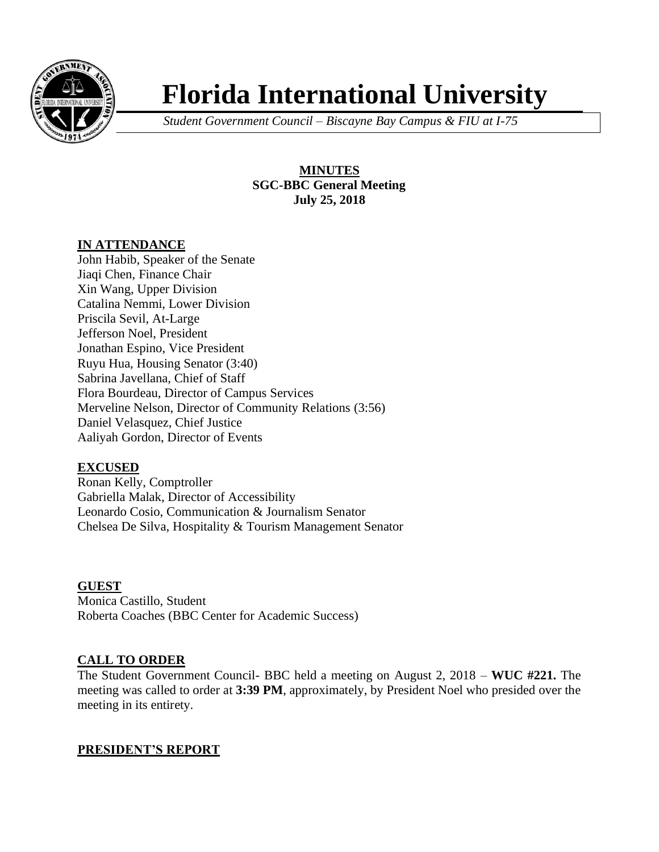

# **Florida International University**

*Student Government Council – Biscayne Bay Campus & FIU at I-75*

**MINUTES SGC-BBC General Meeting July 25, 2018**

## **IN ATTENDANCE**

John Habib, Speaker of the Senate Jiaqi Chen, Finance Chair Xin Wang, Upper Division Catalina Nemmi, Lower Division Priscila Sevil, At-Large Jefferson Noel, President Jonathan Espino, Vice President Ruyu Hua, Housing Senator (3:40) Sabrina Javellana, Chief of Staff Flora Bourdeau, Director of Campus Services Merveline Nelson, Director of Community Relations (3:56) Daniel Velasquez, Chief Justice Aaliyah Gordon, Director of Events

## **EXCUSED**

Ronan Kelly, Comptroller Gabriella Malak, Director of Accessibility Leonardo Cosio, Communication & Journalism Senator Chelsea De Silva, Hospitality & Tourism Management Senator

## **GUEST**

Monica Castillo, Student Roberta Coaches (BBC Center for Academic Success)

# **CALL TO ORDER**

The Student Government Council- BBC held a meeting on August 2, 2018 – **WUC #221.** The meeting was called to order at **3:39 PM**, approximately, by President Noel who presided over the meeting in its entirety.

# **PRESIDENT'S REPORT**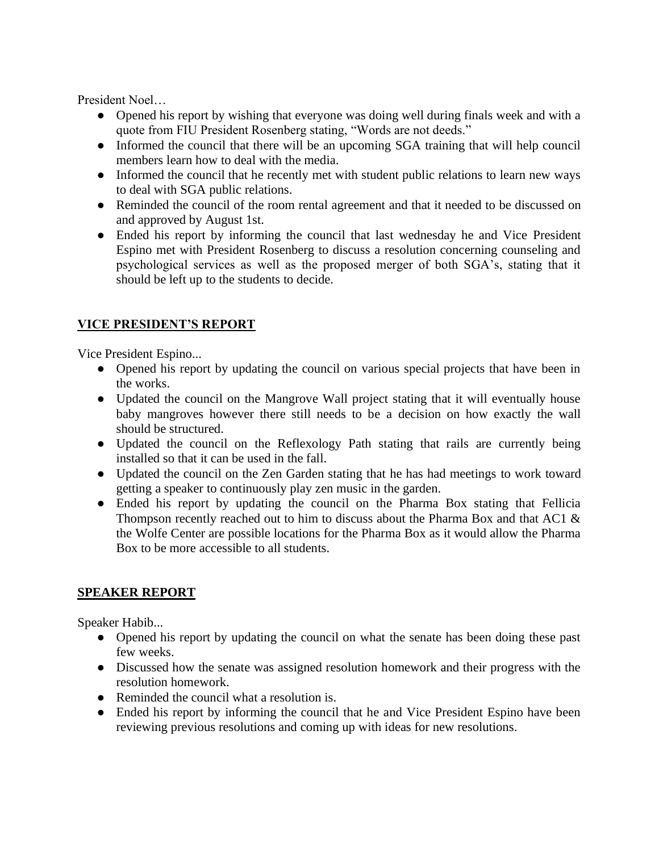President Noel…

- Opened his report by wishing that everyone was doing well during finals week and with a quote from FIU President Rosenberg stating, "Words are not deeds."
- Informed the council that there will be an upcoming SGA training that will help council members learn how to deal with the media.
- Informed the council that he recently met with student public relations to learn new ways to deal with SGA public relations.
- Reminded the council of the room rental agreement and that it needed to be discussed on and approved by August 1st.
- Ended his report by informing the council that last wednesday he and Vice President Espino met with President Rosenberg to discuss a resolution concerning counseling and psychological services as well as the proposed merger of both SGA's, stating that it should be left up to the students to decide.

# **VICE PRESIDENT'S REPORT**

Vice President Espino...

- Opened his report by updating the council on various special projects that have been in the works.
- Updated the council on the Mangrove Wall project stating that it will eventually house baby mangroves however there still needs to be a decision on how exactly the wall should be structured.
- Updated the council on the Reflexology Path stating that rails are currently being installed so that it can be used in the fall.
- Updated the council on the Zen Garden stating that he has had meetings to work toward getting a speaker to continuously play zen music in the garden.
- Ended his report by updating the council on the Pharma Box stating that Fellicia Thompson recently reached out to him to discuss about the Pharma Box and that AC1 & the Wolfe Center are possible locations for the Pharma Box as it would allow the Pharma Box to be more accessible to all students.

# **SPEAKER REPORT**

Speaker Habib...

- Opened his report by updating the council on what the senate has been doing these past few weeks.
- Discussed how the senate was assigned resolution homework and their progress with the resolution homework.
- Reminded the council what a resolution is.
- Ended his report by informing the council that he and Vice President Espino have been reviewing previous resolutions and coming up with ideas for new resolutions.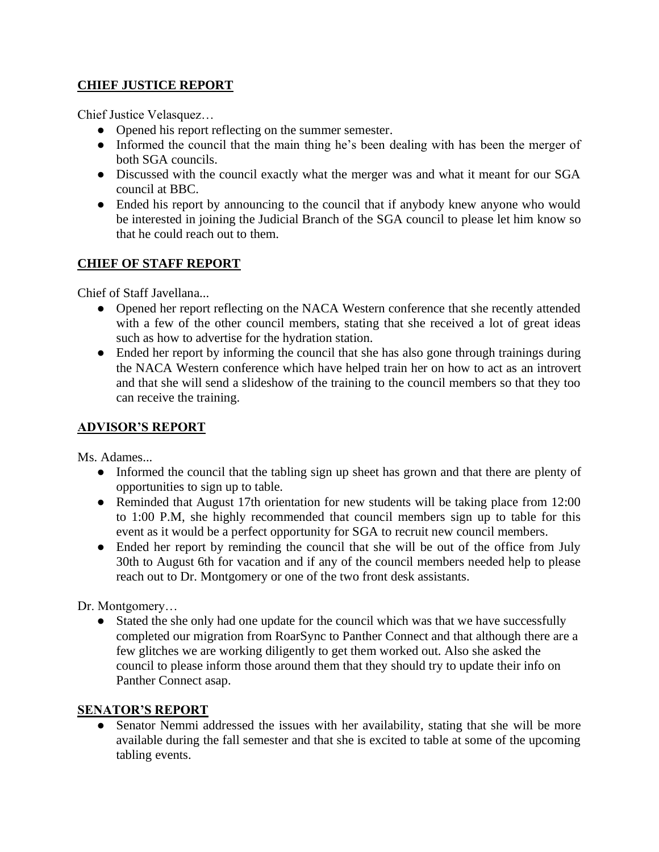# **CHIEF JUSTICE REPORT**

Chief Justice Velasquez…

- Opened his report reflecting on the summer semester.
- Informed the council that the main thing he's been dealing with has been the merger of both SGA councils.
- Discussed with the council exactly what the merger was and what it meant for our SGA council at BBC.
- Ended his report by announcing to the council that if anybody knew anyone who would be interested in joining the Judicial Branch of the SGA council to please let him know so that he could reach out to them.

## **CHIEF OF STAFF REPORT**

Chief of Staff Javellana...

- Opened her report reflecting on the NACA Western conference that she recently attended with a few of the other council members, stating that she received a lot of great ideas such as how to advertise for the hydration station.
- Ended her report by informing the council that she has also gone through trainings during the NACA Western conference which have helped train her on how to act as an introvert and that she will send a slideshow of the training to the council members so that they too can receive the training.

# **ADVISOR'S REPORT**

Ms. Adames...

- Informed the council that the tabling sign up sheet has grown and that there are plenty of opportunities to sign up to table.
- Reminded that August 17th orientation for new students will be taking place from 12:00 to 1:00 P.M, she highly recommended that council members sign up to table for this event as it would be a perfect opportunity for SGA to recruit new council members.
- Ended her report by reminding the council that she will be out of the office from July 30th to August 6th for vacation and if any of the council members needed help to please reach out to Dr. Montgomery or one of the two front desk assistants.

Dr. Montgomery…

• Stated the she only had one update for the council which was that we have successfully completed our migration from RoarSync to Panther Connect and that although there are a few glitches we are working diligently to get them worked out. Also she asked the council to please inform those around them that they should try to update their info on Panther Connect asap.

## **SENATOR'S REPORT**

• Senator Nemmi addressed the issues with her availability, stating that she will be more available during the fall semester and that she is excited to table at some of the upcoming tabling events.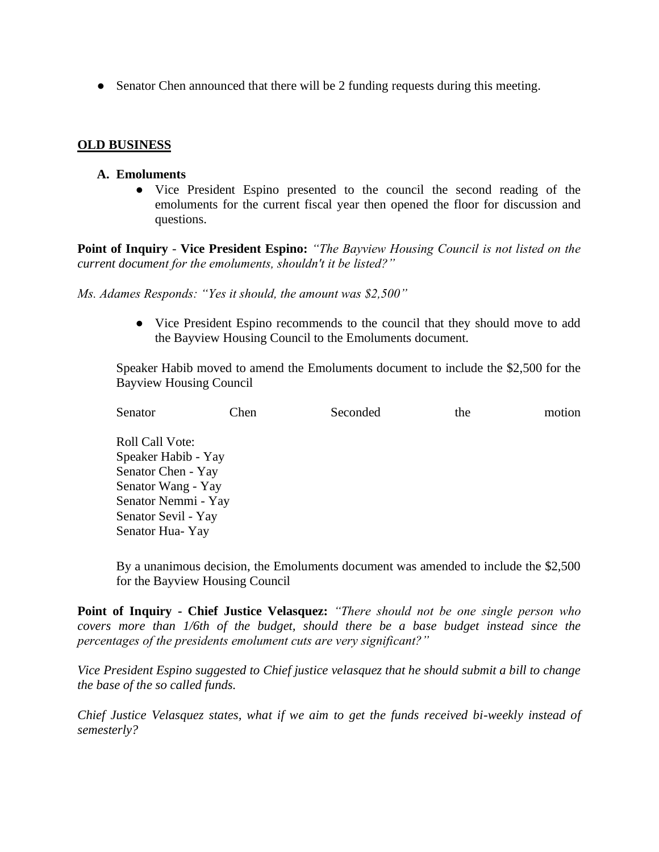• Senator Chen announced that there will be 2 funding requests during this meeting.

#### **OLD BUSINESS**

#### **A. Emoluments**

● Vice President Espino presented to the council the second reading of the emoluments for the current fiscal year then opened the floor for discussion and questions.

**Point of Inquiry** *-* **Vice President Espino:** *"The Bayview Housing Council is not listed on the current document for the emoluments, shouldn't it be listed?"*

*Ms. Adames Responds: "Yes it should, the amount was \$2,500"* 

● Vice President Espino recommends to the council that they should move to add the Bayview Housing Council to the Emoluments document.

Speaker Habib moved to amend the Emoluments document to include the \$2,500 for the Bayview Housing Council

| Senator                | Chen | Seconded | the | motion |
|------------------------|------|----------|-----|--------|
| <b>Roll Call Vote:</b> |      |          |     |        |
| Speaker Habib - Yay    |      |          |     |        |
| Senator Chen - Yay     |      |          |     |        |
| Senator Wang - Yay     |      |          |     |        |
| Senator Nemmi - Yay    |      |          |     |        |
| Senator Sevil - Yay    |      |          |     |        |
| Senator Hua-Yay        |      |          |     |        |

By a unanimous decision, the Emoluments document was amended to include the \$2,500 for the Bayview Housing Council

**Point of Inquiry - Chief Justice Velasquez:** *"There should not be one single person who covers more than 1/6th of the budget, should there be a base budget instead since the percentages of the presidents emolument cuts are very significant?"*

*Vice President Espino suggested to Chief justice velasquez that he should submit a bill to change the base of the so called funds.*

*Chief Justice Velasquez states, what if we aim to get the funds received bi-weekly instead of semesterly?*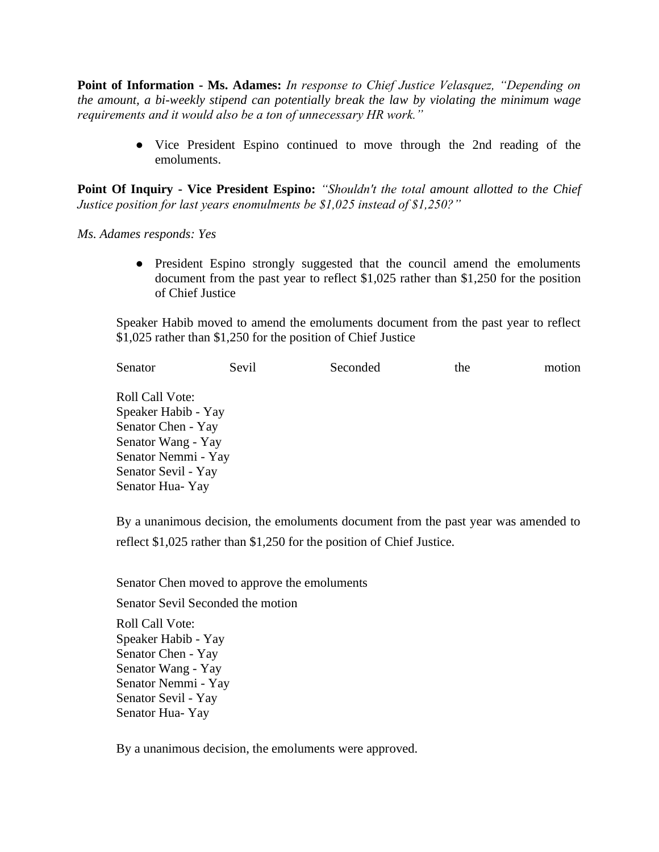**Point of Information - Ms. Adames:** *In response to Chief Justice Velasquez, "Depending on the amount, a bi-weekly stipend can potentially break the law by violating the minimum wage requirements and it would also be a ton of unnecessary HR work."*

> ● Vice President Espino continued to move through the 2nd reading of the emoluments.

**Point Of Inquiry - Vice President Espino:** *"Shouldn't the total amount allotted to the Chief Justice position for last years enomulments be \$1,025 instead of \$1,250?"*

*Ms. Adames responds: Yes*

● President Espino strongly suggested that the council amend the emoluments document from the past year to reflect \$1,025 rather than \$1,250 for the position of Chief Justice

Speaker Habib moved to amend the emoluments document from the past year to reflect \$1,025 rather than \$1,250 for the position of Chief Justice

| Senator<br>Sevil<br>Seconded<br>the | motion |
|-------------------------------------|--------|
| Roll Call Vote:                     |        |
| Speaker Habib - Yay                 |        |
| Senator Chen - Yay                  |        |
| Senator Wang - Yay                  |        |
| Senator Nemmi - Yay                 |        |
| Senator Sevil - Yay                 |        |
| Senator Hua-Yay                     |        |

By a unanimous decision, the emoluments document from the past year was amended to reflect \$1,025 rather than \$1,250 for the position of Chief Justice.

Senator Chen moved to approve the emoluments Senator Sevil Seconded the motion Roll Call Vote: Speaker Habib - Yay Senator Chen - Yay Senator Wang - Yay Senator Nemmi - Yay Senator Sevil - Yay Senator Hua- Yay

By a unanimous decision, the emoluments were approved.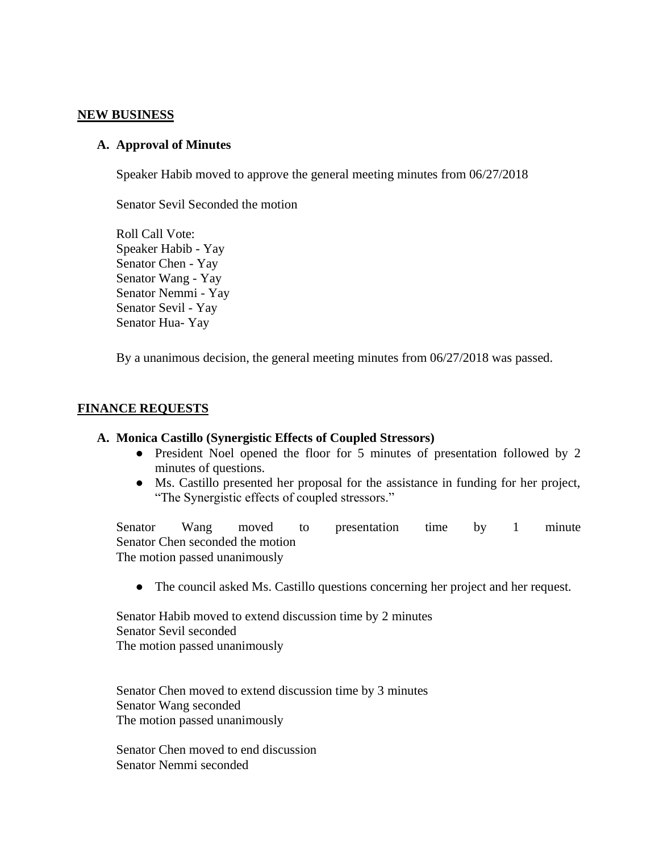#### **NEW BUSINESS**

#### **A. Approval of Minutes**

Speaker Habib moved to approve the general meeting minutes from 06/27/2018

Senator Sevil Seconded the motion

Roll Call Vote: Speaker Habib - Yay Senator Chen - Yay Senator Wang - Yay Senator Nemmi - Yay Senator Sevil - Yay Senator Hua- Yay

By a unanimous decision, the general meeting minutes from 06/27/2018 was passed.

#### **FINANCE REQUESTS**

#### **A. Monica Castillo (Synergistic Effects of Coupled Stressors)**

- President Noel opened the floor for 5 minutes of presentation followed by 2 minutes of questions.
- Ms. Castillo presented her proposal for the assistance in funding for her project, "The Synergistic effects of coupled stressors."

Senator Wang moved to presentation time by 1 minute Senator Chen seconded the motion The motion passed unanimously

● The council asked Ms. Castillo questions concerning her project and her request.

Senator Habib moved to extend discussion time by 2 minutes Senator Sevil seconded The motion passed unanimously

Senator Chen moved to extend discussion time by 3 minutes Senator Wang seconded The motion passed unanimously

Senator Chen moved to end discussion Senator Nemmi seconded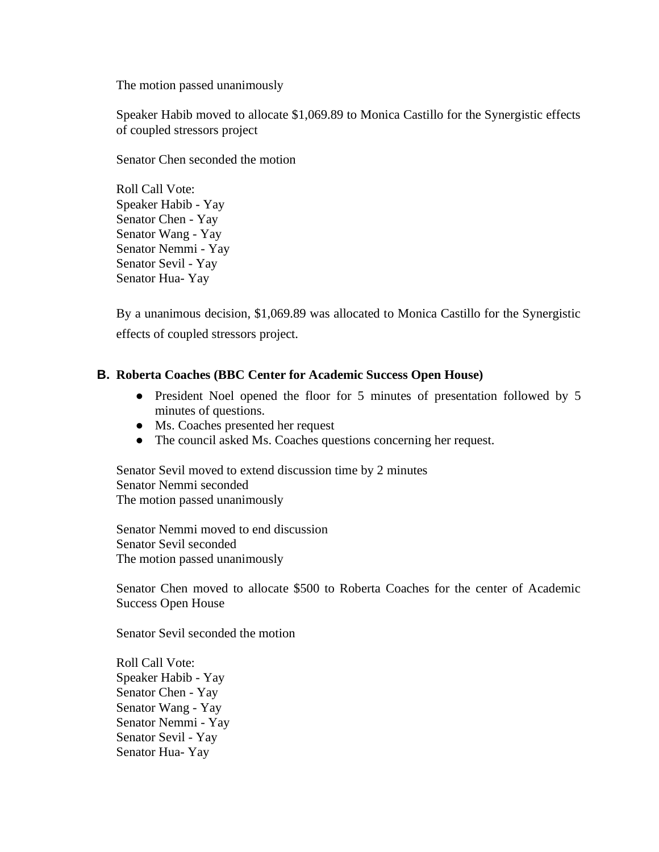The motion passed unanimously

Speaker Habib moved to allocate \$1,069.89 to Monica Castillo for the Synergistic effects of coupled stressors project

Senator Chen seconded the motion

Roll Call Vote: Speaker Habib - Yay Senator Chen - Yay Senator Wang - Yay Senator Nemmi - Yay Senator Sevil - Yay Senator Hua- Yay

By a unanimous decision, \$1,069.89 was allocated to Monica Castillo for the Synergistic effects of coupled stressors project.

#### **B. Roberta Coaches (BBC Center for Academic Success Open House)**

- President Noel opened the floor for 5 minutes of presentation followed by 5 minutes of questions.
- Ms. Coaches presented her request
- The council asked Ms. Coaches questions concerning her request.

Senator Sevil moved to extend discussion time by 2 minutes Senator Nemmi seconded The motion passed unanimously

Senator Nemmi moved to end discussion Senator Sevil seconded The motion passed unanimously

Senator Chen moved to allocate \$500 to Roberta Coaches for the center of Academic Success Open House

Senator Sevil seconded the motion

Roll Call Vote: Speaker Habib - Yay Senator Chen - Yay Senator Wang - Yay Senator Nemmi - Yay Senator Sevil - Yay Senator Hua- Yay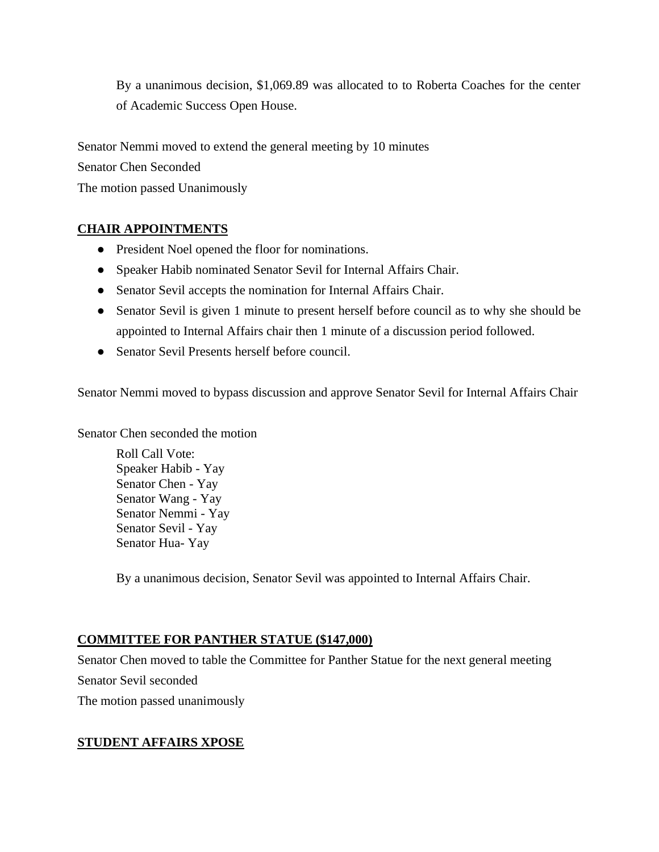By a unanimous decision, \$1,069.89 was allocated to to Roberta Coaches for the center of Academic Success Open House.

Senator Nemmi moved to extend the general meeting by 10 minutes

Senator Chen Seconded

The motion passed Unanimously

## **CHAIR APPOINTMENTS**

- President Noel opened the floor for nominations.
- Speaker Habib nominated Senator Sevil for Internal Affairs Chair.
- Senator Sevil accepts the nomination for Internal Affairs Chair.
- Senator Sevil is given 1 minute to present herself before council as to why she should be appointed to Internal Affairs chair then 1 minute of a discussion period followed.
- Senator Sevil Presents herself before council.

Senator Nemmi moved to bypass discussion and approve Senator Sevil for Internal Affairs Chair

Senator Chen seconded the motion

Roll Call Vote: Speaker Habib - Yay Senator Chen - Yay Senator Wang - Yay Senator Nemmi - Yay Senator Sevil - Yay Senator Hua- Yay

By a unanimous decision, Senator Sevil was appointed to Internal Affairs Chair.

# **COMMITTEE FOR PANTHER STATUE (\$147,000)**

Senator Chen moved to table the Committee for Panther Statue for the next general meeting Senator Sevil seconded The motion passed unanimously

# **STUDENT AFFAIRS XPOSE**